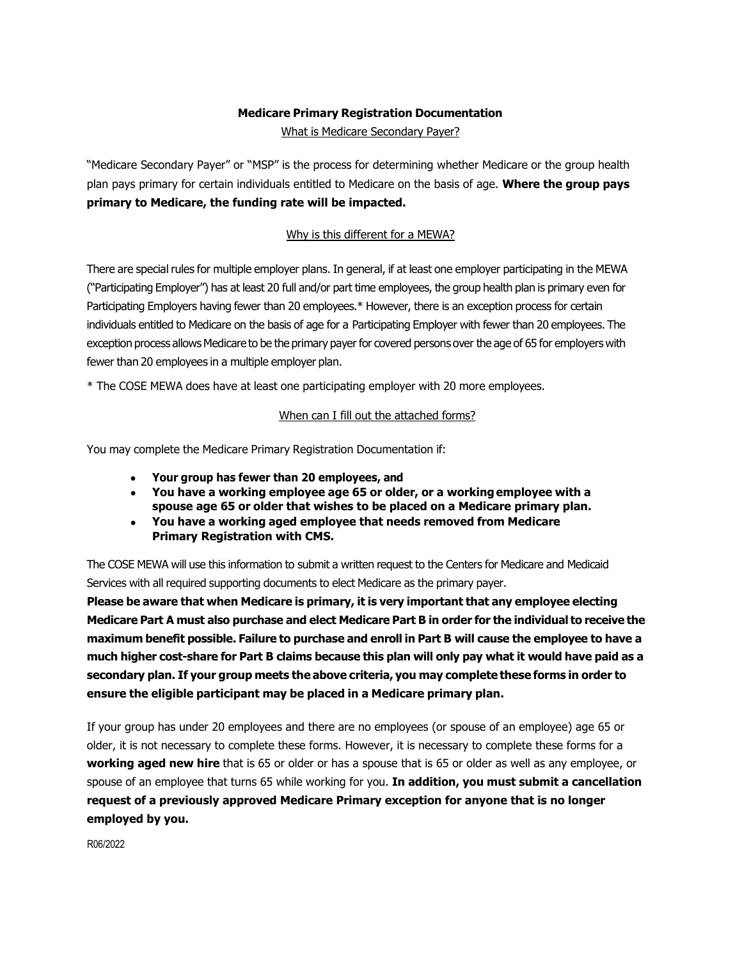# **Medicare Primary Registration Documentation**

What is Medicare Secondary Payer?

"Medicare Secondary Payer" or "MSP" is the process for determining whether Medicare or the group health plan pays primary for certain individuals entitled to Medicare on the basis of age. **Where the group pays primary to Medicare, the funding rate will be impacted.**

### Why is this different for a MEWA?

There are special rules for multiple employer plans. In general, if at least one employer participating in the MEWA ("Participating Employer") has at least 20 full and/or part time employees, the group health plan is primary even for Participating Employers having fewer than 20 employees.\* However, there is an exception process for certain individuals entitled to Medicare on the basis of age for a Participating Employer with fewer than 20 employees. The exception process allows Medicare to be the primary payer for covered persons over the age of 65 for employers with fewer than 20 employees in a multiple employer plan.

\* The COSE MEWA does have at least one participating employer with 20 more employees.

#### When can I fill out the attached forms?

You may complete the Medicare Primary Registration Documentation if:

- **Your group has fewer than 20 employees, and**
- **You have a working employee age 65 or older, or a workingemployee with a spouse age 65 or older that wishes to be placed on a Medicare primary plan.**
- **You have a working aged employee that needs removed from Medicare Primary Registration with CMS.**

The COSE MEWA will use this information to submit a written request to the Centers for Medicare and Medicaid Services with all required supporting documents to elect Medicare as the primary payer.

**Please be aware that when Medicare is primary, it is very important that any employee electing Medicare Part A must also purchase and elect Medicare Part B in order for the individual to receive the maximum benefit possible. Failure to purchase and enroll in Part B will cause the employee to have a**  much higher cost-share for Part B claims because this plan will only pay what it would have paid as a **secondary plan. If your group meets the above criteria, you may complete these forms in order to ensure the eligible participant may be placed in a Medicare primary plan.**

If your group has under 20 employees and there are no employees (or spouse of an employee) age 65 or older, it is not necessary to complete these forms. However, it is necessary to complete these forms for a **working aged new hire** that is 65 or older or has a spouse that is 65 or older as well as any employee, or spouse of an employee that turns 65 while working for you. **In addition, you must submit a cancellation request of a previously approved Medicare Primary exception for anyone that is no longer employed by you.**

R06/2022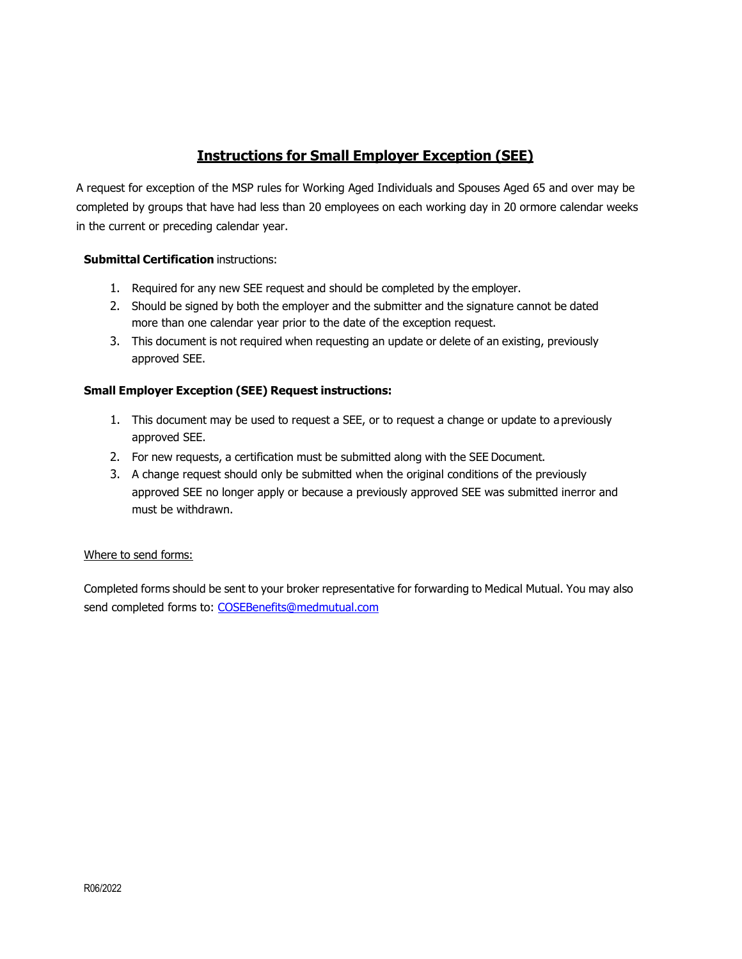# **Instructions for Small Employer Exception (SEE)**

A request for exception of the MSP rules for Working Aged Individuals and Spouses Aged 65 and over may be completed by groups that have had less than 20 employees on each working day in 20 ormore calendar weeks in the current or preceding calendar year.

### **Submittal Certification** instructions:

- 1. Required for any new SEE request and should be completed by the employer.
- 2. Should be signed by both the employer and the submitter and the signature cannot be dated more than one calendar year prior to the date of the exception request.
- 3. This document is not required when requesting an update or delete of an existing, previously approved SEE.

### **Small Employer Exception (SEE) Request instructions:**

- 1. This document may be used to request a SEE, or to request a change or update to apreviously approved SEE.
- 2. For new requests, a certification must be submitted along with the SEE Document.
- 3. A change request should only be submitted when the original conditions of the previously approved SEE no longer apply or because a previously approved SEE was submitted inerror and must be withdrawn.

#### Where to send forms:

Completed forms should be sent to your broker representative for forwarding to Medical Mutual. You may also send completed forms to: [COSEBenefits@medmutual.com](mailto:COSEBenefits@medmutual.com)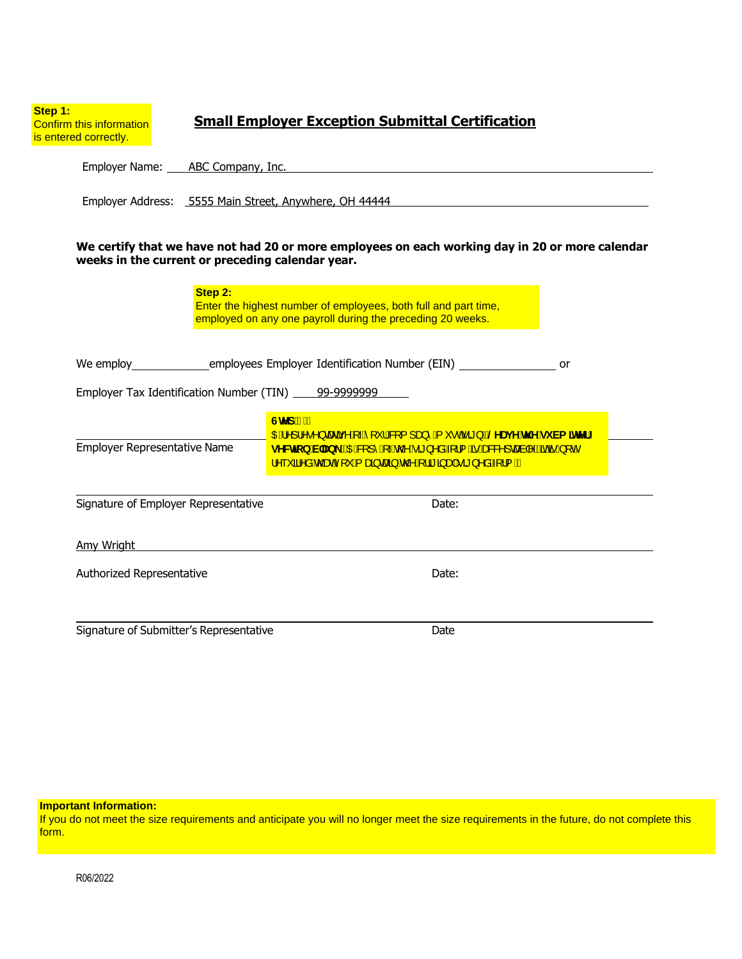| Step 1:<br>Confirm this information<br>is entered correctly.                                                                                        |                                                                                                                                          | <b>Small Employer Exception Submittal Certification</b>                                                                                                                                                                                                                            |  |  |  |  |  |  |  |
|-----------------------------------------------------------------------------------------------------------------------------------------------------|------------------------------------------------------------------------------------------------------------------------------------------|------------------------------------------------------------------------------------------------------------------------------------------------------------------------------------------------------------------------------------------------------------------------------------|--|--|--|--|--|--|--|
|                                                                                                                                                     | Employer Name: ABC Company, Inc.                                                                                                         |                                                                                                                                                                                                                                                                                    |  |  |  |  |  |  |  |
|                                                                                                                                                     | Employer Address: 5555 Main Street, Anywhere, OH 44444                                                                                   |                                                                                                                                                                                                                                                                                    |  |  |  |  |  |  |  |
| We certify that we have not had 20 or more employees on each working day in 20 or more calendar<br>weeks in the current or preceding calendar year. |                                                                                                                                          |                                                                                                                                                                                                                                                                                    |  |  |  |  |  |  |  |
|                                                                                                                                                     | Step 2:<br>Enter the highest number of employees, both full and part time,<br>employed on any one payroll during the preceding 20 weeks. |                                                                                                                                                                                                                                                                                    |  |  |  |  |  |  |  |
|                                                                                                                                                     | We employ ____________________employees Employer Identification Number (EIN) ______________________<br>or                                |                                                                                                                                                                                                                                                                                    |  |  |  |  |  |  |  |
| Employer Tax Identification Number (TIN) 199-9999999999999                                                                                          |                                                                                                                                          |                                                                                                                                                                                                                                                                                    |  |  |  |  |  |  |  |
| <b>Employer Representative Name</b>                                                                                                                 |                                                                                                                                          | GhYd".Á<br><mark>004 A]¦^•^} cæã{v Á{ _ A [ ` ¦ /&amp; [ { ] a} ^ Á{ ` • o Á ã } È @ AU j Y h Y gi Va ] thYf `</mark><br>gYWhjcb VUb_EXE&I1^A ~A@A at }^aAll{ As Ass&^]caal^ExabeA [cA<br>$10^{-6}$ an a house $45$ and $22$ and $24$ and $42$ and $42$ and $41$ and $41$ and $41$ |  |  |  |  |  |  |  |
| Signature of Employer Representative                                                                                                                |                                                                                                                                          | Date:                                                                                                                                                                                                                                                                              |  |  |  |  |  |  |  |
| Amy Wright <b>Exercise Service Services Amy Wright</b>                                                                                              |                                                                                                                                          |                                                                                                                                                                                                                                                                                    |  |  |  |  |  |  |  |
| Authorized Representative                                                                                                                           |                                                                                                                                          | Date:                                                                                                                                                                                                                                                                              |  |  |  |  |  |  |  |
| Signature of Submitter's Representative                                                                                                             |                                                                                                                                          | Date                                                                                                                                                                                                                                                                               |  |  |  |  |  |  |  |

#### **Important Information:**

If you do not meet the size requirements and anticipate you will no longer meet the size requirements in the future, do not complete this form.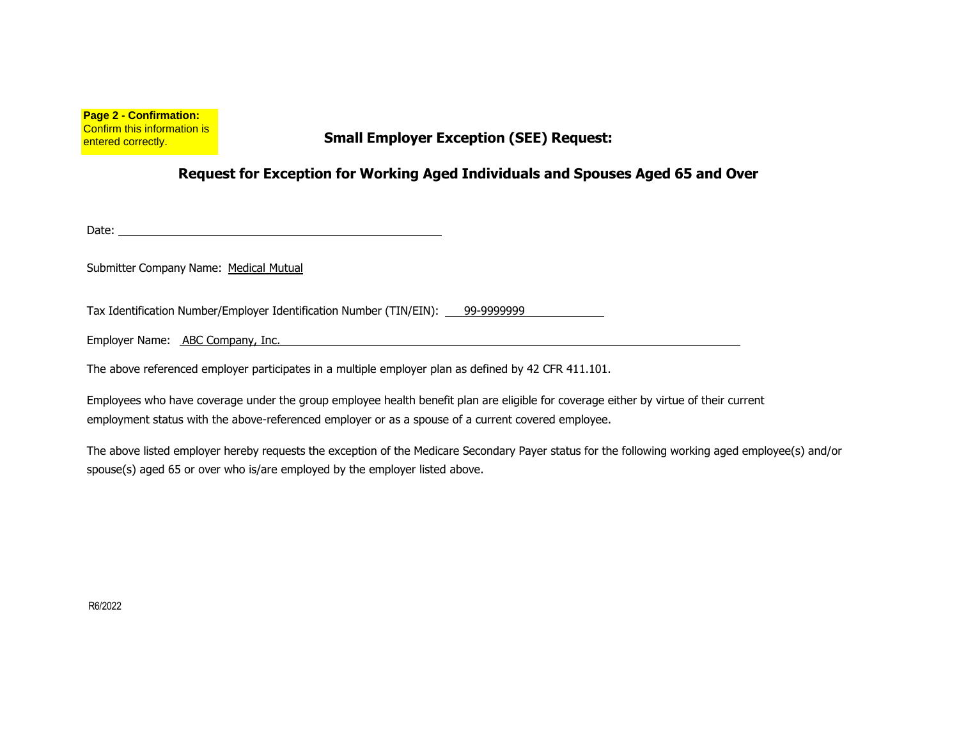**Page 2 - Confirmation:** Confirm this information is entered correctly.

## **Small Employer Exception (SEE) Request:**

### **Request for Exception for Working Aged Individuals and Spouses Aged 65 and Over**

Date: **Date: Date: Date: Date: Date: Date: Date: Date: Date: Date: Date: Date: Date: Date: Date: Date: Date: Date: Date: Date: Date: Date: Date: Date: Date: Date: Date:**

Submitter Company Name: Medical Mutual

Tax Identification Number/Employer Identification Number (TIN/EIN): 99-9999999

Employer Name: ABC Company, Inc.

The above referenced employer participates in a multiple employer plan as defined by 42 CFR 411.101.

Employees who have coverage under the group employee health benefit plan are eligible for coverage either by virtue of their current employment status with the above-referenced employer or as a spouse of a current covered employee.

The above listed employer hereby requests the exception of the Medicare Secondary Payer status for the following working aged employee(s) and/or spouse(s) aged 65 or over who is/are employed by the employer listed above.

R6/2022